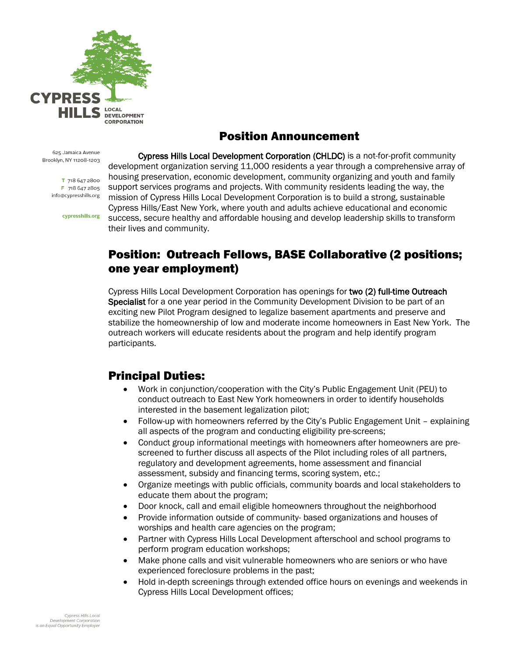

# Position Announcement

625 Jamaica Avenue Brooklyn, NY 11208-1203

> T 718 647 2800 F 718 647 2805 info@cypresshills.org

> > cypresshills.org

Cypress Hills Local Development Corporation (CHLDC) is a not-for-profit community development organization serving 11,000 residents a year through a comprehensive array of housing preservation, economic development, community organizing and youth and family support services programs and projects. With community residents leading the way, the mission of Cypress Hills Local Development Corporation is to build a strong, sustainable Cypress Hills/East New York, where youth and adults achieve educational and economic success, secure healthy and affordable housing and develop leadership skills to transform their lives and community.

## Position: Outreach Fellows, BASE Collaborative (2 positions; one year employment)

Cypress Hills Local Development Corporation has openings for two (2) full-time Outreach Specialist for a one year period in the Community Development Division to be part of an exciting new Pilot Program designed to legalize basement apartments and preserve and stabilize the homeownership of low and moderate income homeowners in East New York. The outreach workers will educate residents about the program and help identify program participants.

## Principal Duties:

- Work in conjunction/cooperation with the City's Public Engagement Unit (PEU) to conduct outreach to East New York homeowners in order to identify households interested in the basement legalization pilot;
- Follow-up with homeowners referred by the City's Public Engagement Unit explaining all aspects of the program and conducting eligibility pre-screens;
- Conduct group informational meetings with homeowners after homeowners are prescreened to further discuss all aspects of the Pilot including roles of all partners, regulatory and development agreements, home assessment and financial assessment, subsidy and financing terms, scoring system, etc.;
- Organize meetings with public officials, community boards and local stakeholders to educate them about the program;
- Door knock, call and email eligible homeowners throughout the neighborhood
- Provide information outside of community- based organizations and houses of worships and health care agencies on the program;
- Partner with Cypress Hills Local Development afterschool and school programs to perform program education workshops;
- Make phone calls and visit vulnerable homeowners who are seniors or who have experienced foreclosure problems in the past;
- Hold in-depth screenings through extended office hours on evenings and weekends in Cypress Hills Local Development offices;